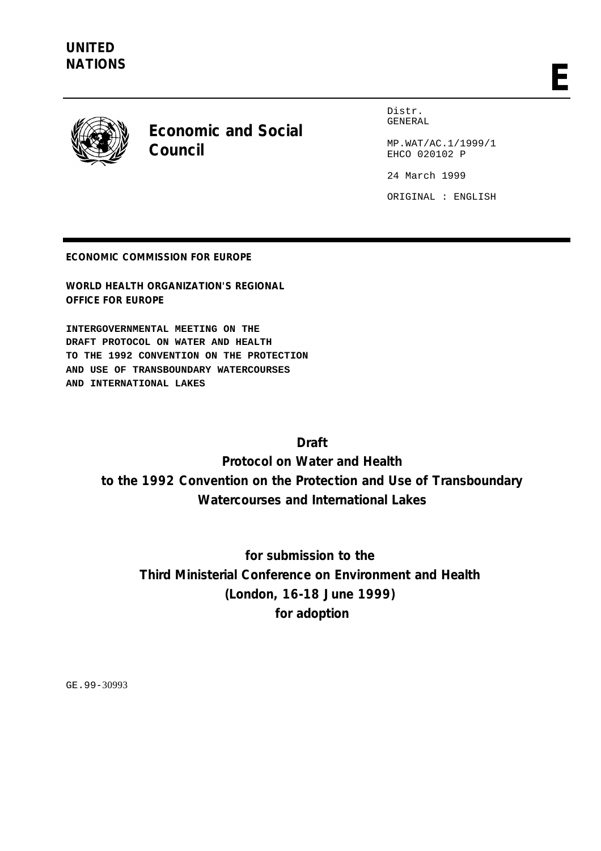

# **Economic and Social Council**

Distr. GENERAL

MP.WAT/AC.1/1999/1 EHCO 020102 P 24 March 1999

ORIGINAL : ENGLISH

**ECONOMIC COMMISSION FOR EUROPE**

**WORLD HEALTH ORGANIZATION'S REGIONAL OFFICE FOR EUROPE**

**INTERGOVERNMENTAL MEETING ON THE DRAFT PROTOCOL ON WATER AND HEALTH TO THE 1992 CONVENTION ON THE PROTECTION AND USE OF TRANSBOUNDARY WATERCOURSES AND INTERNATIONAL LAKES**

**Draft**

**Protocol on Water and Health to the 1992 Convention on the Protection and Use of Transboundary Watercourses and International Lakes**

**for submission to the Third Ministerial Conference on Environment and Health (London, 16-18 June 1999) for adoption**

GE.99-30993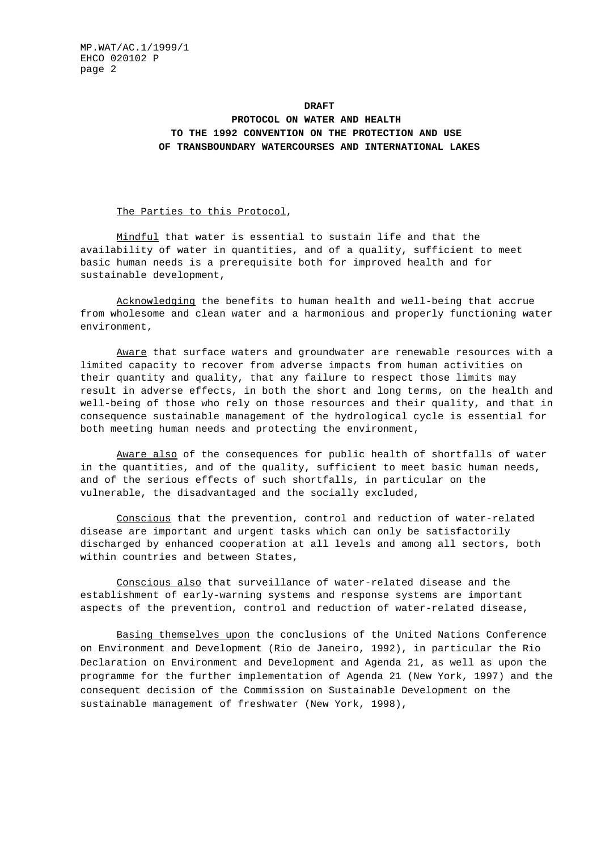# **DRAFT**

# **PROTOCOL ON WATER AND HEALTH TO THE 1992 CONVENTION ON THE PROTECTION AND USE OF TRANSBOUNDARY WATERCOURSES AND INTERNATIONAL LAKES**

#### The Parties to this Protocol,

Mindful that water is essential to sustain life and that the availability of water in quantities, and of a quality, sufficient to meet basic human needs is a prerequisite both for improved health and for sustainable development,

Acknowledging the benefits to human health and well-being that accrue from wholesome and clean water and a harmonious and properly functioning water environment,

Aware that surface waters and groundwater are renewable resources with a limited capacity to recover from adverse impacts from human activities on their quantity and quality, that any failure to respect those limits may result in adverse effects, in both the short and long terms, on the health and well-being of those who rely on those resources and their quality, and that in consequence sustainable management of the hydrological cycle is essential for both meeting human needs and protecting the environment,

Aware also of the consequences for public health of shortfalls of water in the quantities, and of the quality, sufficient to meet basic human needs, and of the serious effects of such shortfalls, in particular on the vulnerable, the disadvantaged and the socially excluded,

Conscious that the prevention, control and reduction of water-related disease are important and urgent tasks which can only be satisfactorily discharged by enhanced cooperation at all levels and among all sectors, both within countries and between States,

Conscious also that surveillance of water-related disease and the establishment of early-warning systems and response systems are important aspects of the prevention, control and reduction of water-related disease,

Basing themselves upon the conclusions of the United Nations Conference on Environment and Development (Rio de Janeiro, 1992), in particular the Rio Declaration on Environment and Development and Agenda 21, as well as upon the programme for the further implementation of Agenda 21 (New York, 1997) and the consequent decision of the Commission on Sustainable Development on the sustainable management of freshwater (New York, 1998),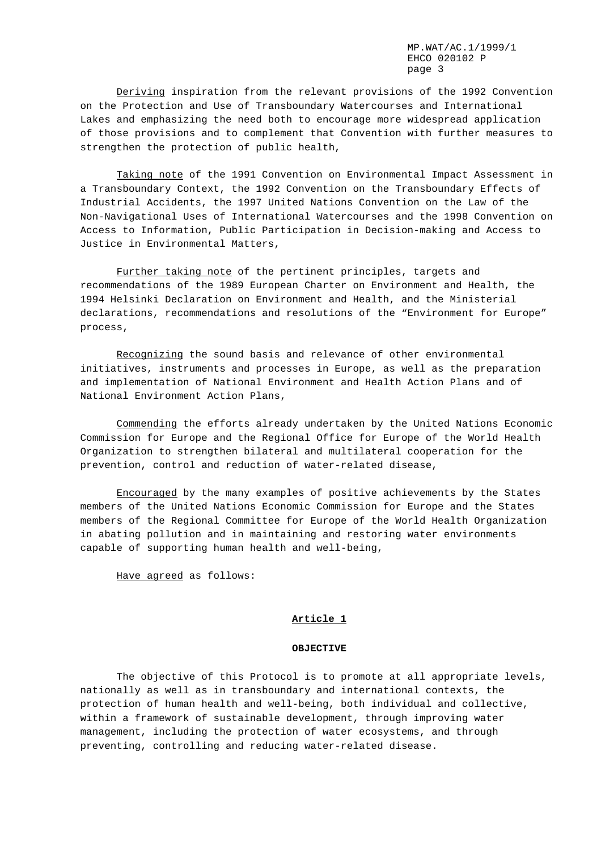Deriving inspiration from the relevant provisions of the 1992 Convention on the Protection and Use of Transboundary Watercourses and International Lakes and emphasizing the need both to encourage more widespread application of those provisions and to complement that Convention with further measures to strengthen the protection of public health,

Taking note of the 1991 Convention on Environmental Impact Assessment in a Transboundary Context, the 1992 Convention on the Transboundary Effects of Industrial Accidents, the 1997 United Nations Convention on the Law of the Non-Navigational Uses of International Watercourses and the 1998 Convention on Access to Information, Public Participation in Decision-making and Access to Justice in Environmental Matters,

Further taking note of the pertinent principles, targets and recommendations of the 1989 European Charter on Environment and Health, the 1994 Helsinki Declaration on Environment and Health, and the Ministerial declarations, recommendations and resolutions of the "Environment for Europe" process,

Recognizing the sound basis and relevance of other environmental initiatives, instruments and processes in Europe, as well as the preparation and implementation of National Environment and Health Action Plans and of National Environment Action Plans,

Commending the efforts already undertaken by the United Nations Economic Commission for Europe and the Regional Office for Europe of the World Health Organization to strengthen bilateral and multilateral cooperation for the prevention, control and reduction of water-related disease,

Encouraged by the many examples of positive achievements by the States members of the United Nations Economic Commission for Europe and the States members of the Regional Committee for Europe of the World Health Organization in abating pollution and in maintaining and restoring water environments capable of supporting human health and well-being,

Have agreed as follows:

#### **Article 1**

#### **OBJECTIVE**

The objective of this Protocol is to promote at all appropriate levels, nationally as well as in transboundary and international contexts, the protection of human health and well-being, both individual and collective, within a framework of sustainable development, through improving water management, including the protection of water ecosystems, and through preventing, controlling and reducing water-related disease.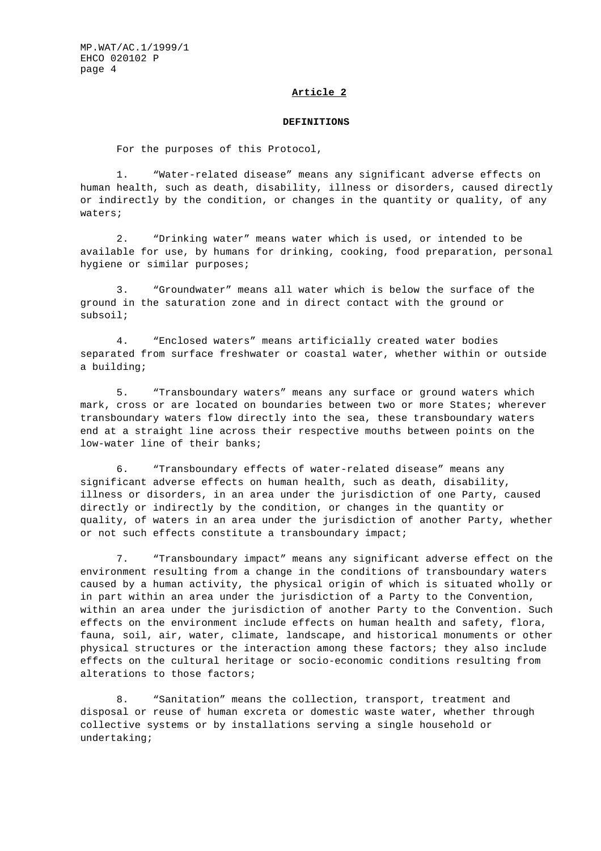# **Article 2**

#### **DEFINITIONS**

For the purposes of this Protocol,

1. "Water-related disease" means any significant adverse effects on human health, such as death, disability, illness or disorders, caused directly or indirectly by the condition, or changes in the quantity or quality, of any waters;

2. "Drinking water" means water which is used, or intended to be available for use, by humans for drinking, cooking, food preparation, personal hygiene or similar purposes;

3. "Groundwater" means all water which is below the surface of the ground in the saturation zone and in direct contact with the ground or subsoil;

4. "Enclosed waters" means artificially created water bodies separated from surface freshwater or coastal water, whether within or outside a building;

5. "Transboundary waters" means any surface or ground waters which mark, cross or are located on boundaries between two or more States; wherever transboundary waters flow directly into the sea, these transboundary waters end at a straight line across their respective mouths between points on the low-water line of their banks;

6. "Transboundary effects of water-related disease" means any significant adverse effects on human health, such as death, disability, illness or disorders, in an area under the jurisdiction of one Party, caused directly or indirectly by the condition, or changes in the quantity or quality, of waters in an area under the jurisdiction of another Party, whether or not such effects constitute a transboundary impact;

7. "Transboundary impact" means any significant adverse effect on the environment resulting from a change in the conditions of transboundary waters caused by a human activity, the physical origin of which is situated wholly or in part within an area under the jurisdiction of a Party to the Convention, within an area under the jurisdiction of another Party to the Convention. Such effects on the environment include effects on human health and safety, flora, fauna, soil, air, water, climate, landscape, and historical monuments or other physical structures or the interaction among these factors; they also include effects on the cultural heritage or socio-economic conditions resulting from alterations to those factors;

8. "Sanitation" means the collection, transport, treatment and disposal or reuse of human excreta or domestic waste water, whether through collective systems or by installations serving a single household or undertaking;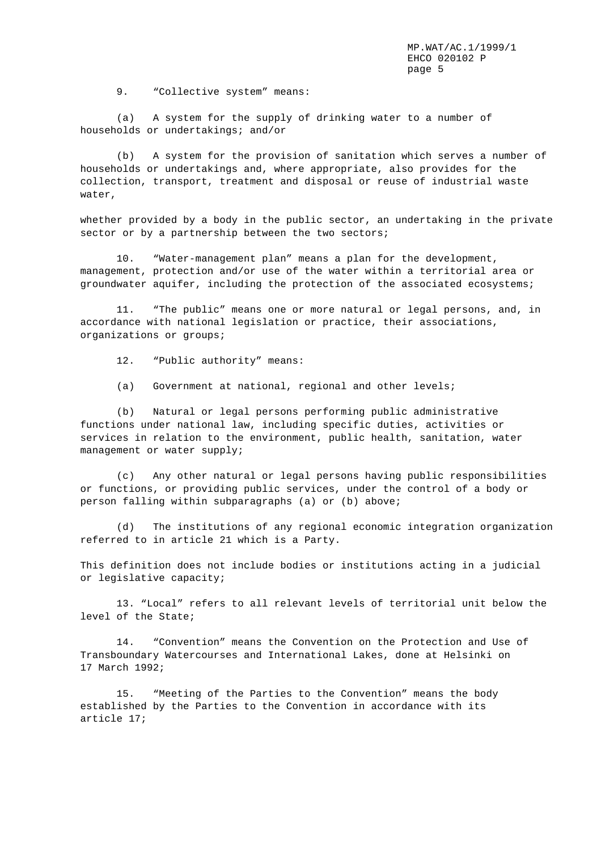9. "Collective system" means:

(a) A system for the supply of drinking water to a number of households or undertakings; and/or

(b) A system for the provision of sanitation which serves a number of households or undertakings and, where appropriate, also provides for the collection, transport, treatment and disposal or reuse of industrial waste water,

whether provided by a body in the public sector, an undertaking in the private sector or by a partnership between the two sectors;

10. "Water-management plan" means a plan for the development, management, protection and/or use of the water within a territorial area or groundwater aquifer, including the protection of the associated ecosystems;

11. "The public" means one or more natural or legal persons, and, in accordance with national legislation or practice, their associations, organizations or groups;

12. "Public authority" means:

(a) Government at national, regional and other levels;

(b) Natural or legal persons performing public administrative functions under national law, including specific duties, activities or services in relation to the environment, public health, sanitation, water management or water supply;

(c) Any other natural or legal persons having public responsibilities or functions, or providing public services, under the control of a body or person falling within subparagraphs (a) or (b) above;

(d) The institutions of any regional economic integration organization referred to in article 21 which is a Party.

This definition does not include bodies or institutions acting in a judicial or legislative capacity;

13. "Local" refers to all relevant levels of territorial unit below the level of the State;

14. "Convention" means the Convention on the Protection and Use of Transboundary Watercourses and International Lakes, done at Helsinki on 17 March 1992;

15. "Meeting of the Parties to the Convention" means the body established by the Parties to the Convention in accordance with its article 17;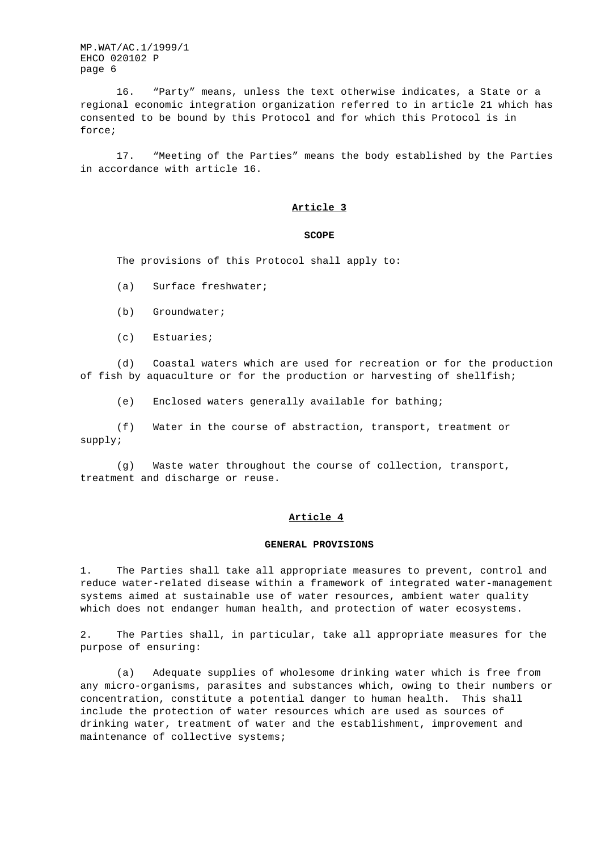16. "Party" means, unless the text otherwise indicates, a State or a regional economic integration organization referred to in article 21 which has consented to be bound by this Protocol and for which this Protocol is in force;

17. "Meeting of the Parties" means the body established by the Parties in accordance with article 16.

#### **Article 3**

#### **SCOPE**

The provisions of this Protocol shall apply to:

- (a) Surface freshwater;
- (b) Groundwater;
- (c) Estuaries;

(d) Coastal waters which are used for recreation or for the production of fish by aquaculture or for the production or harvesting of shellfish;

(e) Enclosed waters generally available for bathing;

(f) Water in the course of abstraction, transport, treatment or supply;

(g) Waste water throughout the course of collection, transport, treatment and discharge or reuse.

#### **Article 4**

#### **GENERAL PROVISIONS**

1. The Parties shall take all appropriate measures to prevent, control and reduce water-related disease within a framework of integrated water-management systems aimed at sustainable use of water resources, ambient water quality which does not endanger human health, and protection of water ecosystems.

2. The Parties shall, in particular, take all appropriate measures for the purpose of ensuring:

(a) Adequate supplies of wholesome drinking water which is free from any micro-organisms, parasites and substances which, owing to their numbers or concentration, constitute a potential danger to human health. This shall include the protection of water resources which are used as sources of drinking water, treatment of water and the establishment, improvement and maintenance of collective systems;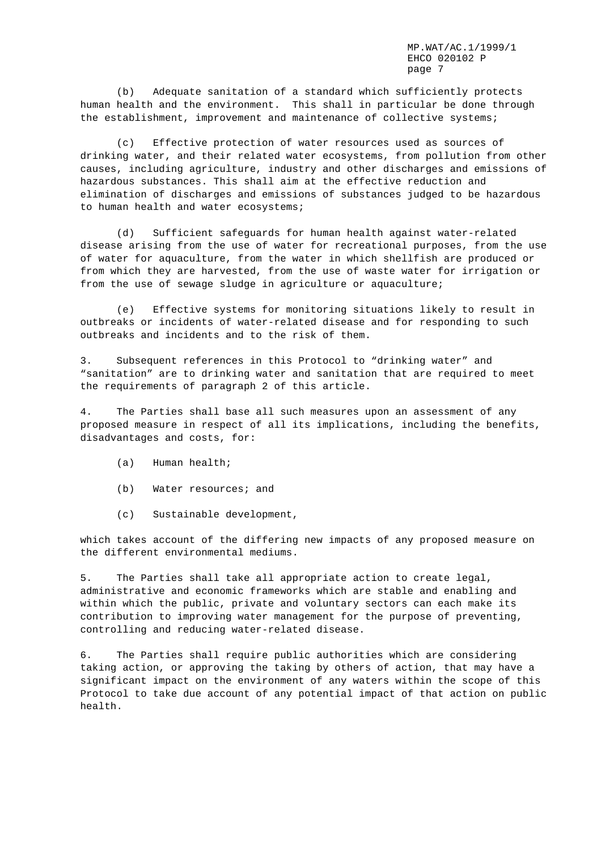(b) Adequate sanitation of a standard which sufficiently protects human health and the environment. This shall in particular be done through the establishment, improvement and maintenance of collective systems;

(c) Effective protection of water resources used as sources of drinking water, and their related water ecosystems, from pollution from other causes, including agriculture, industry and other discharges and emissions of hazardous substances. This shall aim at the effective reduction and elimination of discharges and emissions of substances judged to be hazardous to human health and water ecosystems;

(d) Sufficient safeguards for human health against water-related disease arising from the use of water for recreational purposes, from the use of water for aquaculture, from the water in which shellfish are produced or from which they are harvested, from the use of waste water for irrigation or from the use of sewage sludge in agriculture or aquaculture;

(e) Effective systems for monitoring situations likely to result in outbreaks or incidents of water-related disease and for responding to such outbreaks and incidents and to the risk of them.

3. Subsequent references in this Protocol to "drinking water" and "sanitation" are to drinking water and sanitation that are required to meet the requirements of paragraph 2 of this article.

4. The Parties shall base all such measures upon an assessment of any proposed measure in respect of all its implications, including the benefits, disadvantages and costs, for:

- (a) Human health;
- (b) Water resources; and
- (c) Sustainable development,

which takes account of the differing new impacts of any proposed measure on the different environmental mediums.

5. The Parties shall take all appropriate action to create legal, administrative and economic frameworks which are stable and enabling and within which the public, private and voluntary sectors can each make its contribution to improving water management for the purpose of preventing, controlling and reducing water-related disease.

6. The Parties shall require public authorities which are considering taking action, or approving the taking by others of action, that may have a significant impact on the environment of any waters within the scope of this Protocol to take due account of any potential impact of that action on public health.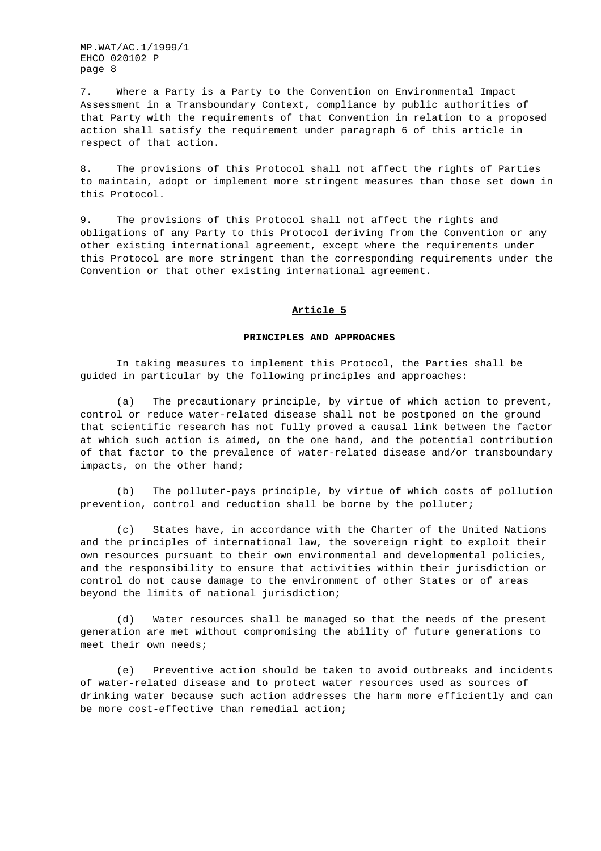7. Where a Party is a Party to the Convention on Environmental Impact Assessment in a Transboundary Context, compliance by public authorities of that Party with the requirements of that Convention in relation to a proposed action shall satisfy the requirement under paragraph 6 of this article in respect of that action.

8. The provisions of this Protocol shall not affect the rights of Parties to maintain, adopt or implement more stringent measures than those set down in this Protocol.

9. The provisions of this Protocol shall not affect the rights and obligations of any Party to this Protocol deriving from the Convention or any other existing international agreement, except where the requirements under this Protocol are more stringent than the corresponding requirements under the Convention or that other existing international agreement.

# **Article 5**

# **PRINCIPLES AND APPROACHES**

In taking measures to implement this Protocol, the Parties shall be guided in particular by the following principles and approaches:

(a) The precautionary principle, by virtue of which action to prevent, control or reduce water-related disease shall not be postponed on the ground that scientific research has not fully proved a causal link between the factor at which such action is aimed, on the one hand, and the potential contribution of that factor to the prevalence of water-related disease and/or transboundary impacts, on the other hand;

(b) The polluter-pays principle, by virtue of which costs of pollution prevention, control and reduction shall be borne by the polluter;

(c) States have, in accordance with the Charter of the United Nations and the principles of international law, the sovereign right to exploit their own resources pursuant to their own environmental and developmental policies, and the responsibility to ensure that activities within their jurisdiction or control do not cause damage to the environment of other States or of areas beyond the limits of national jurisdiction;

(d) Water resources shall be managed so that the needs of the present generation are met without compromising the ability of future generations to meet their own needs;

(e) Preventive action should be taken to avoid outbreaks and incidents of water-related disease and to protect water resources used as sources of drinking water because such action addresses the harm more efficiently and can be more cost-effective than remedial action;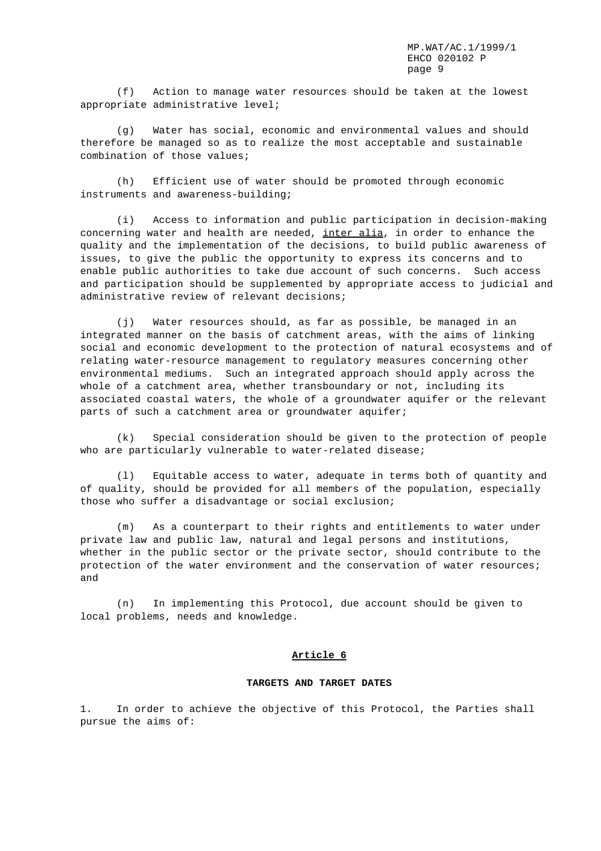(f) Action to manage water resources should be taken at the lowest appropriate administrative level;

(g) Water has social, economic and environmental values and should therefore be managed so as to realize the most acceptable and sustainable combination of those values;

(h) Efficient use of water should be promoted through economic instruments and awareness-building;

(i) Access to information and public participation in decision-making concerning water and health are needed, inter alia, in order to enhance the quality and the implementation of the decisions, to build public awareness of issues, to give the public the opportunity to express its concerns and to enable public authorities to take due account of such concerns. Such access and participation should be supplemented by appropriate access to judicial and administrative review of relevant decisions;

(j) Water resources should, as far as possible, be managed in an integrated manner on the basis of catchment areas, with the aims of linking social and economic development to the protection of natural ecosystems and of relating water-resource management to regulatory measures concerning other environmental mediums. Such an integrated approach should apply across the whole of a catchment area, whether transboundary or not, including its associated coastal waters, the whole of a groundwater aquifer or the relevant parts of such a catchment area or groundwater aquifer;

(k) Special consideration should be given to the protection of people who are particularly vulnerable to water-related disease;

(l) Equitable access to water, adequate in terms both of quantity and of quality, should be provided for all members of the population, especially those who suffer a disadvantage or social exclusion;

(m) As a counterpart to their rights and entitlements to water under private law and public law, natural and legal persons and institutions, whether in the public sector or the private sector, should contribute to the protection of the water environment and the conservation of water resources; and

(n) In implementing this Protocol, due account should be given to local problems, needs and knowledge.

# **Article 6**

## **TARGETS AND TARGET DATES**

1. In order to achieve the objective of this Protocol, the Parties shall pursue the aims of: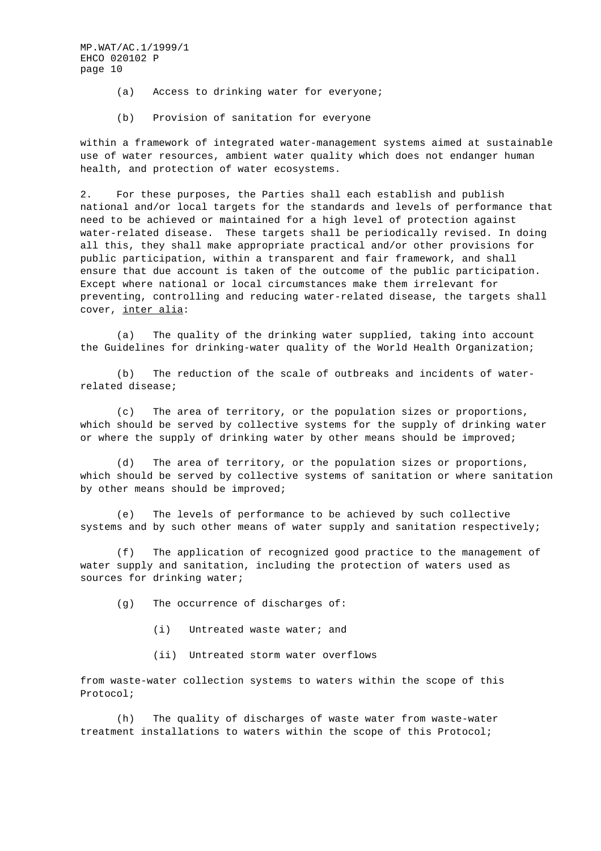(a) Access to drinking water for everyone;

(b) Provision of sanitation for everyone

within a framework of integrated water-management systems aimed at sustainable use of water resources, ambient water quality which does not endanger human health, and protection of water ecosystems.

2. For these purposes, the Parties shall each establish and publish national and/or local targets for the standards and levels of performance that need to be achieved or maintained for a high level of protection against water-related disease. These targets shall be periodically revised. In doing all this, they shall make appropriate practical and/or other provisions for public participation, within a transparent and fair framework, and shall ensure that due account is taken of the outcome of the public participation. Except where national or local circumstances make them irrelevant for preventing, controlling and reducing water-related disease, the targets shall cover, inter alia:

(a) The quality of the drinking water supplied, taking into account the Guidelines for drinking-water quality of the World Health Organization;

(b) The reduction of the scale of outbreaks and incidents of waterrelated disease;

(c) The area of territory, or the population sizes or proportions, which should be served by collective systems for the supply of drinking water or where the supply of drinking water by other means should be improved;

(d) The area of territory, or the population sizes or proportions, which should be served by collective systems of sanitation or where sanitation by other means should be improved;

(e) The levels of performance to be achieved by such collective systems and by such other means of water supply and sanitation respectively;

(f) The application of recognized good practice to the management of water supply and sanitation, including the protection of waters used as sources for drinking water;

(g) The occurrence of discharges of:

(i) Untreated waste water; and

(ii) Untreated storm water overflows

from waste-water collection systems to waters within the scope of this Protocol;

(h) The quality of discharges of waste water from waste-water treatment installations to waters within the scope of this Protocol;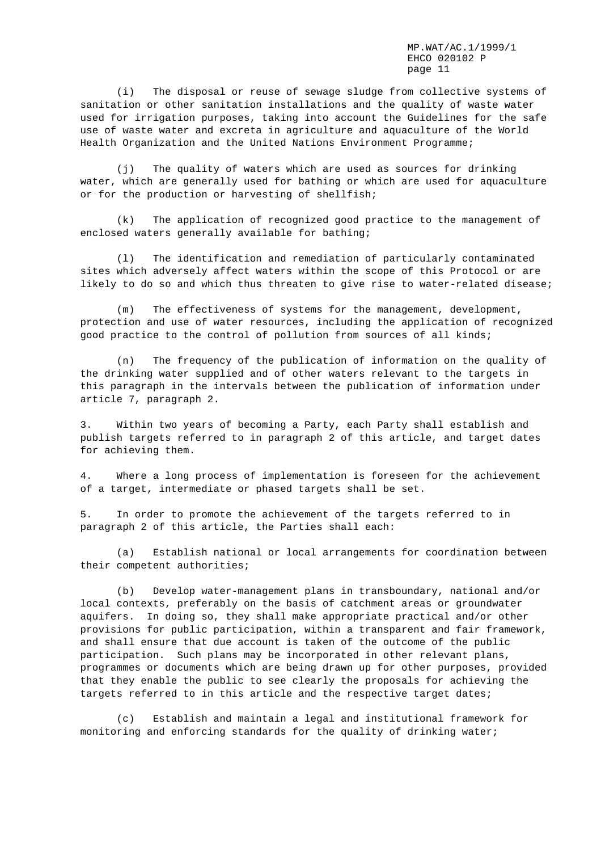(i) The disposal or reuse of sewage sludge from collective systems of sanitation or other sanitation installations and the quality of waste water used for irrigation purposes, taking into account the Guidelines for the safe use of waste water and excreta in agriculture and aquaculture of the World Health Organization and the United Nations Environment Programme;

(j) The quality of waters which are used as sources for drinking water, which are generally used for bathing or which are used for aquaculture or for the production or harvesting of shellfish;

(k) The application of recognized good practice to the management of enclosed waters generally available for bathing;

(l) The identification and remediation of particularly contaminated sites which adversely affect waters within the scope of this Protocol or are likely to do so and which thus threaten to give rise to water-related disease;

(m) The effectiveness of systems for the management, development, protection and use of water resources, including the application of recognized good practice to the control of pollution from sources of all kinds;

(n) The frequency of the publication of information on the quality of the drinking water supplied and of other waters relevant to the targets in this paragraph in the intervals between the publication of information under article 7, paragraph 2.

3. Within two years of becoming a Party, each Party shall establish and publish targets referred to in paragraph 2 of this article, and target dates for achieving them.

4. Where a long process of implementation is foreseen for the achievement of a target, intermediate or phased targets shall be set.

5. In order to promote the achievement of the targets referred to in paragraph 2 of this article, the Parties shall each:

(a) Establish national or local arrangements for coordination between their competent authorities;

(b) Develop water-management plans in transboundary, national and/or local contexts, preferably on the basis of catchment areas or groundwater aquifers. In doing so, they shall make appropriate practical and/or other provisions for public participation, within a transparent and fair framework, and shall ensure that due account is taken of the outcome of the public participation. Such plans may be incorporated in other relevant plans, programmes or documents which are being drawn up for other purposes, provided that they enable the public to see clearly the proposals for achieving the targets referred to in this article and the respective target dates;

(c) Establish and maintain a legal and institutional framework for monitoring and enforcing standards for the quality of drinking water;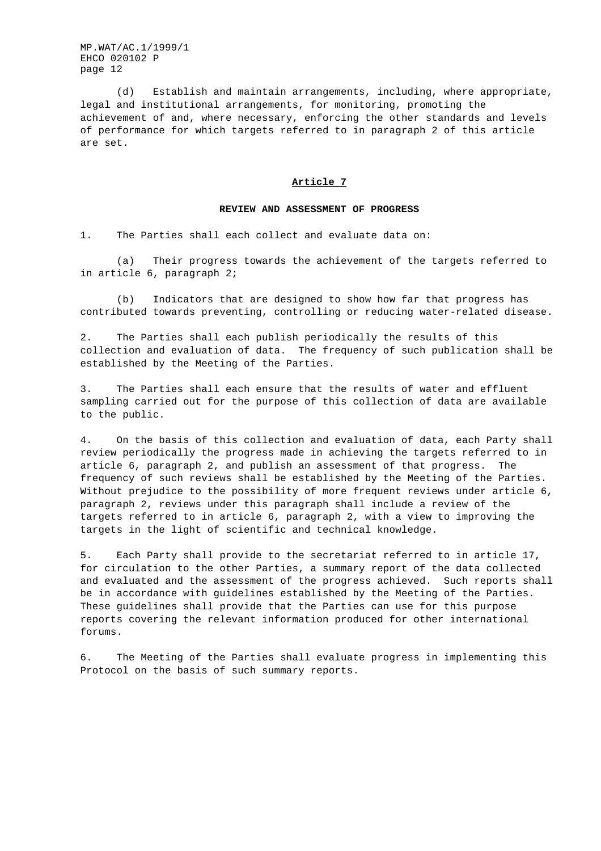(d) Establish and maintain arrangements, including, where appropriate, legal and institutional arrangements, for monitoring, promoting the achievement of and, where necessary, enforcing the other standards and levels of performance for which targets referred to in paragraph 2 of this article are set.

## **Article 7**

#### **REVIEW AND ASSESSMENT OF PROGRESS**

1. The Parties shall each collect and evaluate data on:

(a) Their progress towards the achievement of the targets referred to in article 6, paragraph 2;

(b) Indicators that are designed to show how far that progress has contributed towards preventing, controlling or reducing water-related disease.

2. The Parties shall each publish periodically the results of this collection and evaluation of data. The frequency of such publication shall be established by the Meeting of the Parties.

3. The Parties shall each ensure that the results of water and effluent sampling carried out for the purpose of this collection of data are available to the public.

4. On the basis of this collection and evaluation of data, each Party shall review periodically the progress made in achieving the targets referred to in article 6, paragraph 2, and publish an assessment of that progress. The frequency of such reviews shall be established by the Meeting of the Parties. Without prejudice to the possibility of more frequent reviews under article 6, paragraph 2, reviews under this paragraph shall include a review of the targets referred to in article 6, paragraph 2, with a view to improving the targets in the light of scientific and technical knowledge.

5. Each Party shall provide to the secretariat referred to in article 17, for circulation to the other Parties, a summary report of the data collected and evaluated and the assessment of the progress achieved. Such reports shall be in accordance with guidelines established by the Meeting of the Parties. These guidelines shall provide that the Parties can use for this purpose reports covering the relevant information produced for other international forums.

6. The Meeting of the Parties shall evaluate progress in implementing this Protocol on the basis of such summary reports.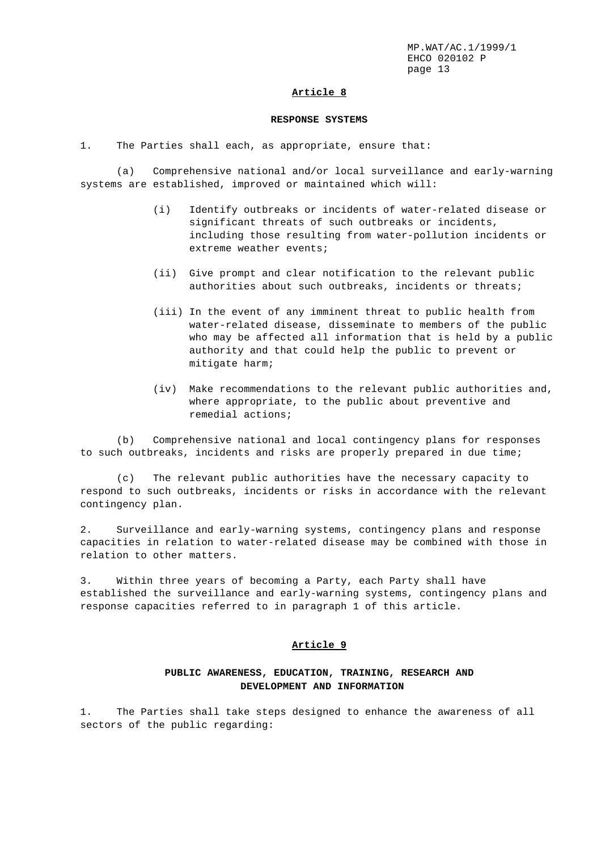# **Article 8**

# **RESPONSE SYSTEMS**

1. The Parties shall each, as appropriate, ensure that:

(a) Comprehensive national and/or local surveillance and early-warning systems are established, improved or maintained which will:

- (i) Identify outbreaks or incidents of water-related disease or significant threats of such outbreaks or incidents, including those resulting from water-pollution incidents or extreme weather events;
- (ii) Give prompt and clear notification to the relevant public authorities about such outbreaks, incidents or threats;
- (iii) In the event of any imminent threat to public health from water-related disease, disseminate to members of the public who may be affected all information that is held by a public authority and that could help the public to prevent or mitigate harm;
- (iv) Make recommendations to the relevant public authorities and, where appropriate, to the public about preventive and remedial actions;

(b) Comprehensive national and local contingency plans for responses to such outbreaks, incidents and risks are properly prepared in due time;

(c) The relevant public authorities have the necessary capacity to respond to such outbreaks, incidents or risks in accordance with the relevant contingency plan.

2. Surveillance and early-warning systems, contingency plans and response capacities in relation to water-related disease may be combined with those in relation to other matters.

3. Within three years of becoming a Party, each Party shall have established the surveillance and early-warning systems, contingency plans and response capacities referred to in paragraph 1 of this article.

# **Article 9**

# **PUBLIC AWARENESS, EDUCATION, TRAINING, RESEARCH AND DEVELOPMENT AND INFORMATION**

1. The Parties shall take steps designed to enhance the awareness of all sectors of the public regarding: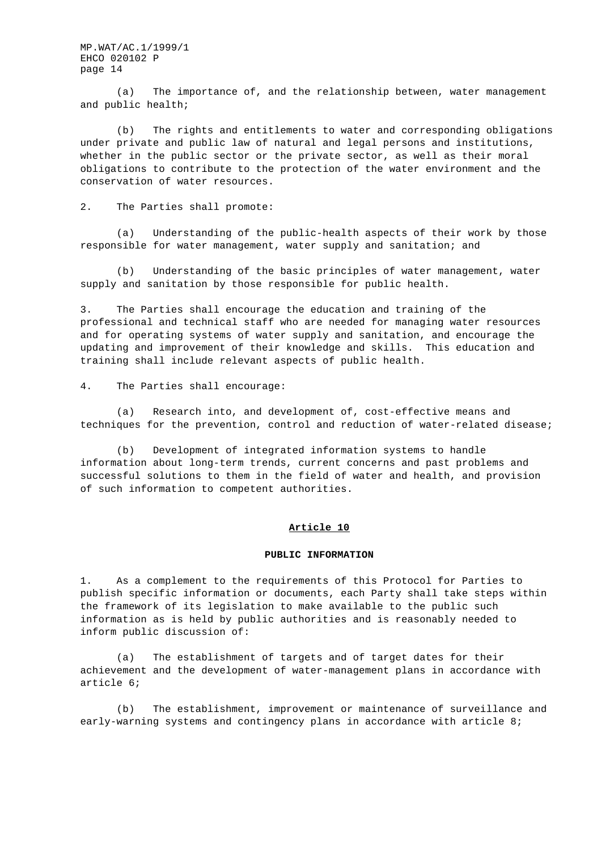(a) The importance of, and the relationship between, water management and public health;

(b) The rights and entitlements to water and corresponding obligations under private and public law of natural and legal persons and institutions, whether in the public sector or the private sector, as well as their moral obligations to contribute to the protection of the water environment and the conservation of water resources.

2. The Parties shall promote:

(a) Understanding of the public-health aspects of their work by those responsible for water management, water supply and sanitation; and

(b) Understanding of the basic principles of water management, water supply and sanitation by those responsible for public health.

3. The Parties shall encourage the education and training of the professional and technical staff who are needed for managing water resources and for operating systems of water supply and sanitation, and encourage the updating and improvement of their knowledge and skills. This education and training shall include relevant aspects of public health.

4. The Parties shall encourage:

(a) Research into, and development of, cost-effective means and techniques for the prevention, control and reduction of water-related disease;

(b) Development of integrated information systems to handle information about long-term trends, current concerns and past problems and successful solutions to them in the field of water and health, and provision of such information to competent authorities.

### **Article 10**

#### **PUBLIC INFORMATION**

1. As a complement to the requirements of this Protocol for Parties to publish specific information or documents, each Party shall take steps within the framework of its legislation to make available to the public such information as is held by public authorities and is reasonably needed to inform public discussion of:

(a) The establishment of targets and of target dates for their achievement and the development of water-management plans in accordance with article 6;

(b) The establishment, improvement or maintenance of surveillance and early-warning systems and contingency plans in accordance with article 8;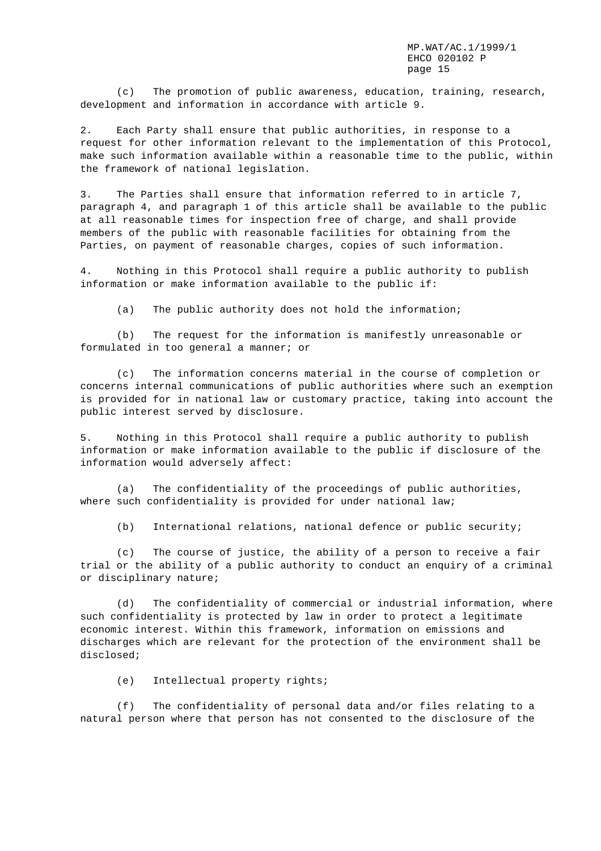(c) The promotion of public awareness, education, training, research, development and information in accordance with article 9.

2. Each Party shall ensure that public authorities, in response to a request for other information relevant to the implementation of this Protocol, make such information available within a reasonable time to the public, within the framework of national legislation.

3. The Parties shall ensure that information referred to in article 7, paragraph 4, and paragraph 1 of this article shall be available to the public at all reasonable times for inspection free of charge, and shall provide members of the public with reasonable facilities for obtaining from the Parties, on payment of reasonable charges, copies of such information.

4. Nothing in this Protocol shall require a public authority to publish information or make information available to the public if:

(a) The public authority does not hold the information;

(b) The request for the information is manifestly unreasonable or formulated in too general a manner; or

(c) The information concerns material in the course of completion or concerns internal communications of public authorities where such an exemption is provided for in national law or customary practice, taking into account the public interest served by disclosure.

5. Nothing in this Protocol shall require a public authority to publish information or make information available to the public if disclosure of the information would adversely affect:

(a) The confidentiality of the proceedings of public authorities, where such confidentiality is provided for under national law;

(b) International relations, national defence or public security;

(c) The course of justice, the ability of a person to receive a fair trial or the ability of a public authority to conduct an enquiry of a criminal or disciplinary nature;

(d) The confidentiality of commercial or industrial information, where such confidentiality is protected by law in order to protect a legitimate economic interest. Within this framework, information on emissions and discharges which are relevant for the protection of the environment shall be disclosed;

(e) Intellectual property rights;

(f) The confidentiality of personal data and/or files relating to a natural person where that person has not consented to the disclosure of the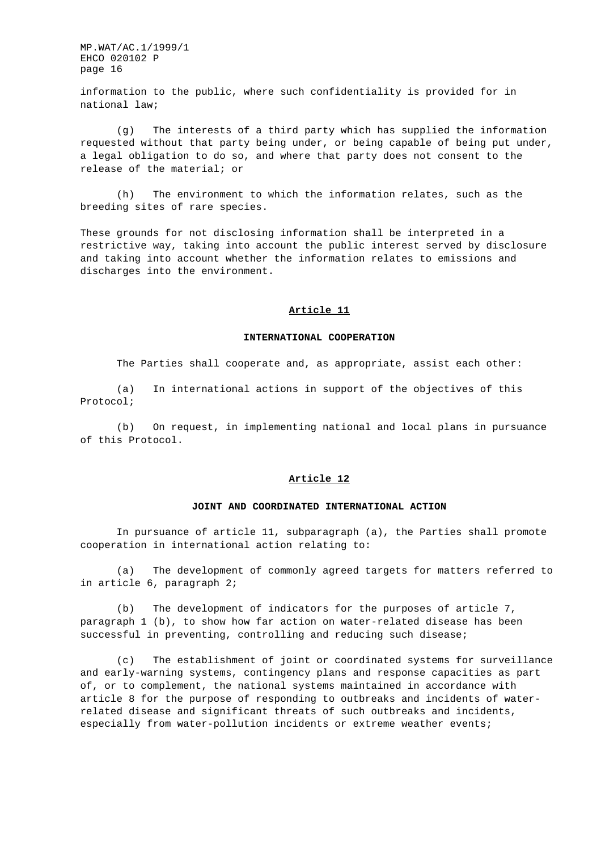information to the public, where such confidentiality is provided for in national law;

(g) The interests of a third party which has supplied the information requested without that party being under, or being capable of being put under, a legal obligation to do so, and where that party does not consent to the release of the material; or

(h) The environment to which the information relates, such as the breeding sites of rare species.

These grounds for not disclosing information shall be interpreted in a restrictive way, taking into account the public interest served by disclosure and taking into account whether the information relates to emissions and discharges into the environment.

## **Article 11**

## **INTERNATIONAL COOPERATION**

The Parties shall cooperate and, as appropriate, assist each other:

(a) In international actions in support of the objectives of this Protocol;

(b) On request, in implementing national and local plans in pursuance of this Protocol.

#### **Article 12**

# **JOINT AND COORDINATED INTERNATIONAL ACTION**

In pursuance of article 11, subparagraph (a), the Parties shall promote cooperation in international action relating to:

(a) The development of commonly agreed targets for matters referred to in article 6, paragraph 2;

(b) The development of indicators for the purposes of article 7, paragraph 1 (b), to show how far action on water-related disease has been successful in preventing, controlling and reducing such disease;

(c) The establishment of joint or coordinated systems for surveillance and early-warning systems, contingency plans and response capacities as part of, or to complement, the national systems maintained in accordance with article 8 for the purpose of responding to outbreaks and incidents of waterrelated disease and significant threats of such outbreaks and incidents, especially from water-pollution incidents or extreme weather events;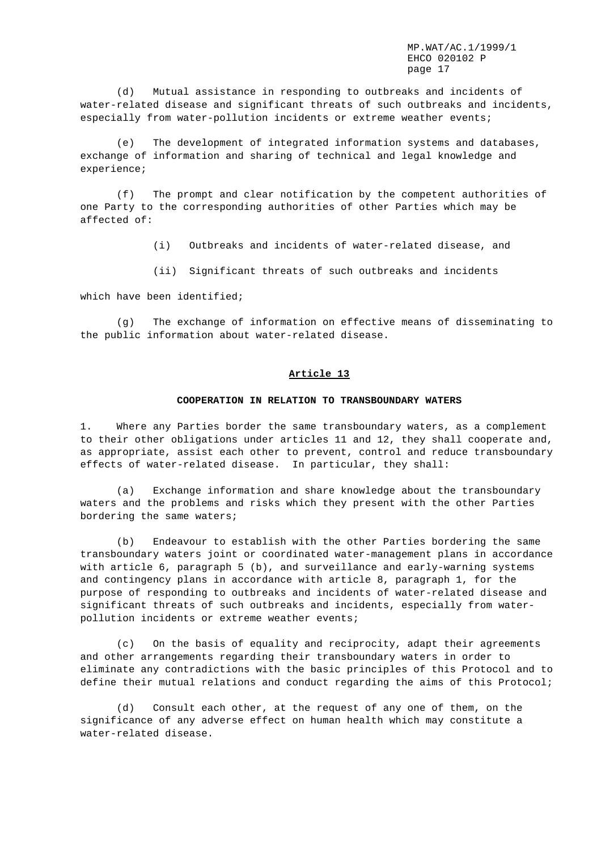(d) Mutual assistance in responding to outbreaks and incidents of water-related disease and significant threats of such outbreaks and incidents, especially from water-pollution incidents or extreme weather events;

(e) The development of integrated information systems and databases, exchange of information and sharing of technical and legal knowledge and experience;

(f) The prompt and clear notification by the competent authorities of one Party to the corresponding authorities of other Parties which may be affected of:

(i) Outbreaks and incidents of water-related disease, and

(ii) Significant threats of such outbreaks and incidents

which have been identified;

(g) The exchange of information on effective means of disseminating to the public information about water-related disease.

# **Article 13**

#### **COOPERATION IN RELATION TO TRANSBOUNDARY WATERS**

1. Where any Parties border the same transboundary waters, as a complement to their other obligations under articles 11 and 12, they shall cooperate and, as appropriate, assist each other to prevent, control and reduce transboundary effects of water-related disease. In particular, they shall:

(a) Exchange information and share knowledge about the transboundary waters and the problems and risks which they present with the other Parties bordering the same waters;

(b) Endeavour to establish with the other Parties bordering the same transboundary waters joint or coordinated water-management plans in accordance with article 6, paragraph 5 (b), and surveillance and early-warning systems and contingency plans in accordance with article 8, paragraph 1, for the purpose of responding to outbreaks and incidents of water-related disease and significant threats of such outbreaks and incidents, especially from waterpollution incidents or extreme weather events;

(c) On the basis of equality and reciprocity, adapt their agreements and other arrangements regarding their transboundary waters in order to eliminate any contradictions with the basic principles of this Protocol and to define their mutual relations and conduct regarding the aims of this Protocol;

(d) Consult each other, at the request of any one of them, on the significance of any adverse effect on human health which may constitute a water-related disease.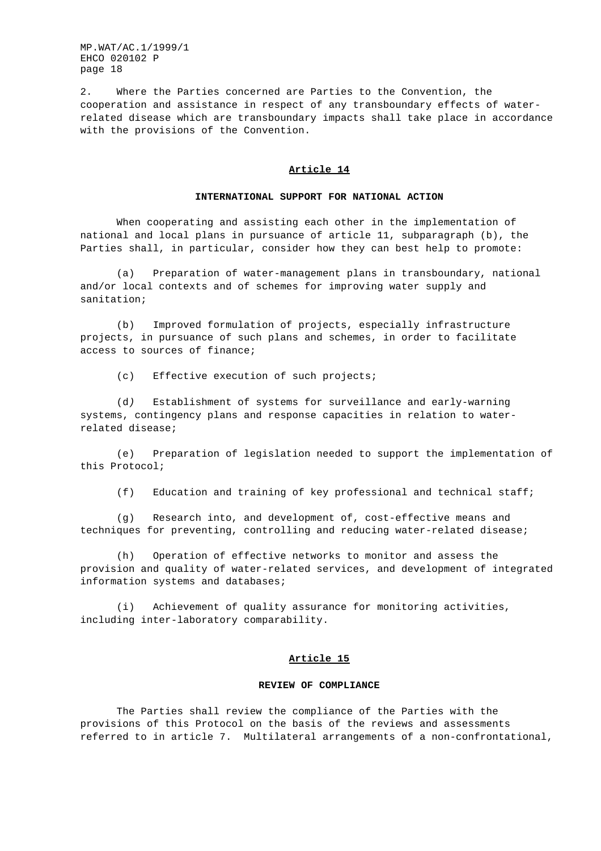2. Where the Parties concerned are Parties to the Convention, the cooperation and assistance in respect of any transboundary effects of waterrelated disease which are transboundary impacts shall take place in accordance with the provisions of the Convention.

#### **Article 14**

# **INTERNATIONAL SUPPORT FOR NATIONAL ACTION**

When cooperating and assisting each other in the implementation of national and local plans in pursuance of article 11, subparagraph (b), the Parties shall, in particular, consider how they can best help to promote:

(a) Preparation of water-management plans in transboundary, national and/or local contexts and of schemes for improving water supply and sanitation;

(b) Improved formulation of projects, especially infrastructure projects, in pursuance of such plans and schemes, in order to facilitate access to sources of finance;

(c) Effective execution of such projects;

(d*)* Establishment of systems for surveillance and early-warning systems, contingency plans and response capacities in relation to waterrelated disease;

(e) Preparation of legislation needed to support the implementation of this Protocol;

(f) Education and training of key professional and technical staff;

(g) Research into, and development of, cost-effective means and techniques for preventing, controlling and reducing water-related disease;

(h) Operation of effective networks to monitor and assess the provision and quality of water-related services, and development of integrated information systems and databases;

(i) Achievement of quality assurance for monitoring activities, including inter-laboratory comparability.

#### **Article 15**

#### **REVIEW OF COMPLIANCE**

The Parties shall review the compliance of the Parties with the provisions of this Protocol on the basis of the reviews and assessments referred to in article 7. Multilateral arrangements of a non-confrontational,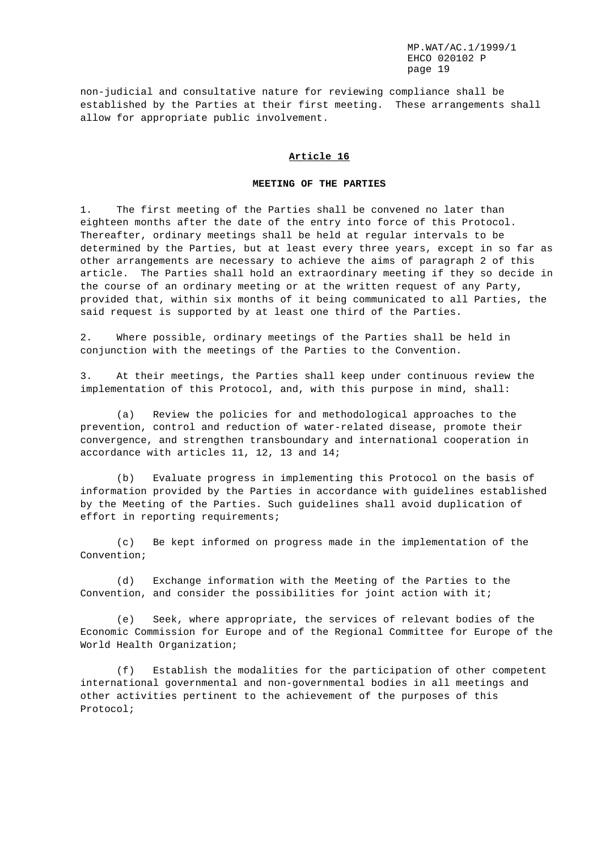non-judicial and consultative nature for reviewing compliance shall be established by the Parties at their first meeting. These arrangements shall allow for appropriate public involvement.

#### **Article 16**

# **MEETING OF THE PARTIES**

1. The first meeting of the Parties shall be convened no later than eighteen months after the date of the entry into force of this Protocol. Thereafter, ordinary meetings shall be held at regular intervals to be determined by the Parties, but at least every three years, except in so far as other arrangements are necessary to achieve the aims of paragraph 2 of this article. The Parties shall hold an extraordinary meeting if they so decide in the course of an ordinary meeting or at the written request of any Party, provided that, within six months of it being communicated to all Parties, the said request is supported by at least one third of the Parties.

2. Where possible, ordinary meetings of the Parties shall be held in conjunction with the meetings of the Parties to the Convention.

3. At their meetings, the Parties shall keep under continuous review the implementation of this Protocol, and, with this purpose in mind, shall:

(a) Review the policies for and methodological approaches to the prevention, control and reduction of water-related disease, promote their convergence, and strengthen transboundary and international cooperation in accordance with articles 11, 12, 13 and 14;

(b) Evaluate progress in implementing this Protocol on the basis of information provided by the Parties in accordance with guidelines established by the Meeting of the Parties. Such guidelines shall avoid duplication of effort in reporting requirements;

(c) Be kept informed on progress made in the implementation of the Convention;

(d) Exchange information with the Meeting of the Parties to the Convention, and consider the possibilities for joint action with it;

(e) Seek, where appropriate, the services of relevant bodies of the Economic Commission for Europe and of the Regional Committee for Europe of the World Health Organization;

(f) Establish the modalities for the participation of other competent international governmental and non-governmental bodies in all meetings and other activities pertinent to the achievement of the purposes of this Protocol;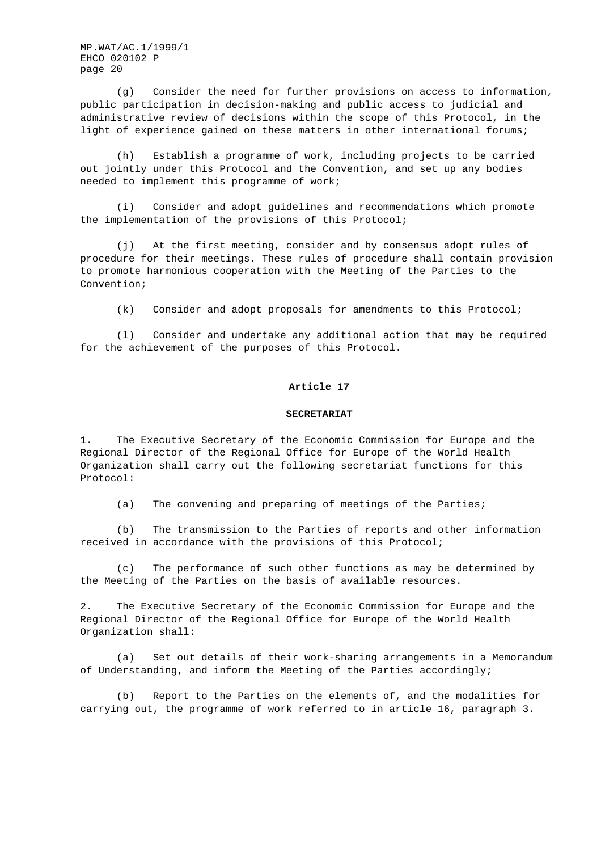(g) Consider the need for further provisions on access to information, public participation in decision-making and public access to judicial and administrative review of decisions within the scope of this Protocol, in the light of experience gained on these matters in other international forums;

(h) Establish a programme of work, including projects to be carried out jointly under this Protocol and the Convention, and set up any bodies needed to implement this programme of work;

(i) Consider and adopt guidelines and recommendations which promote the implementation of the provisions of this Protocol;

(j) At the first meeting, consider and by consensus adopt rules of procedure for their meetings. These rules of procedure shall contain provision to promote harmonious cooperation with the Meeting of the Parties to the Convention;

(k) Consider and adopt proposals for amendments to this Protocol;

(l) Consider and undertake any additional action that may be required for the achievement of the purposes of this Protocol.

#### **Article 17**

# **SECRETARIAT**

1. The Executive Secretary of the Economic Commission for Europe and the Regional Director of the Regional Office for Europe of the World Health Organization shall carry out the following secretariat functions for this Protocol:

(a) The convening and preparing of meetings of the Parties;

(b) The transmission to the Parties of reports and other information received in accordance with the provisions of this Protocol;

(c) The performance of such other functions as may be determined by the Meeting of the Parties on the basis of available resources.

2. The Executive Secretary of the Economic Commission for Europe and the Regional Director of the Regional Office for Europe of the World Health Organization shall:

(a) Set out details of their work-sharing arrangements in a Memorandum of Understanding, and inform the Meeting of the Parties accordingly;

(b) Report to the Parties on the elements of, and the modalities for carrying out, the programme of work referred to in article 16, paragraph 3.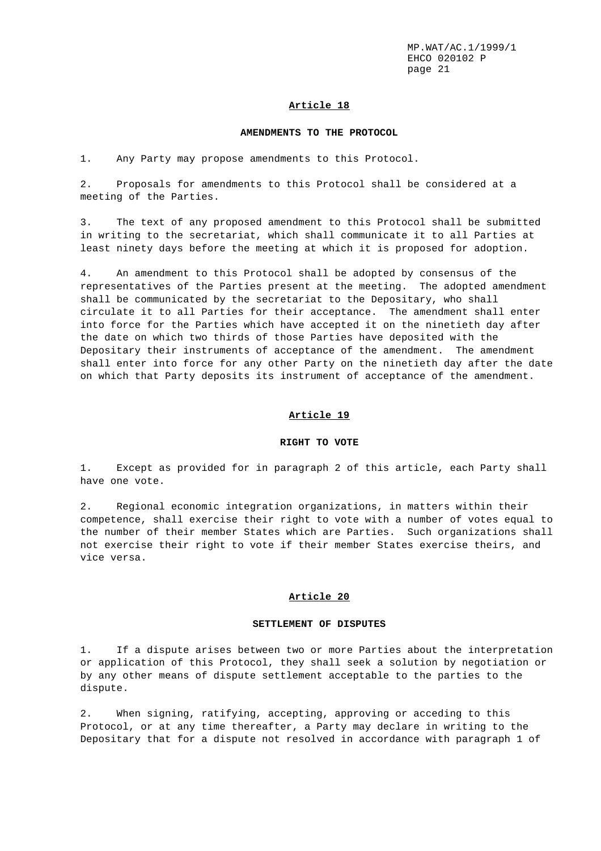# **Article 18**

#### **AMENDMENTS TO THE PROTOCOL**

1. Any Party may propose amendments to this Protocol.

2. Proposals for amendments to this Protocol shall be considered at a meeting of the Parties.

3. The text of any proposed amendment to this Protocol shall be submitted in writing to the secretariat, which shall communicate it to all Parties at least ninety days before the meeting at which it is proposed for adoption.

4. An amendment to this Protocol shall be adopted by consensus of the representatives of the Parties present at the meeting. The adopted amendment shall be communicated by the secretariat to the Depositary, who shall circulate it to all Parties for their acceptance. The amendment shall enter into force for the Parties which have accepted it on the ninetieth day after the date on which two thirds of those Parties have deposited with the Depositary their instruments of acceptance of the amendment. The amendment shall enter into force for any other Party on the ninetieth day after the date on which that Party deposits its instrument of acceptance of the amendment.

# **Article 19**

## **RIGHT TO VOTE**

1. Except as provided for in paragraph 2 of this article, each Party shall have one vote.

2. Regional economic integration organizations, in matters within their competence, shall exercise their right to vote with a number of votes equal to the number of their member States which are Parties. Such organizations shall not exercise their right to vote if their member States exercise theirs, and vice versa.

#### **Article 20**

# **SETTLEMENT OF DISPUTES**

1. If a dispute arises between two or more Parties about the interpretation or application of this Protocol, they shall seek a solution by negotiation or by any other means of dispute settlement acceptable to the parties to the dispute.

2. When signing, ratifying, accepting, approving or acceding to this Protocol, or at any time thereafter, a Party may declare in writing to the Depositary that for a dispute not resolved in accordance with paragraph 1 of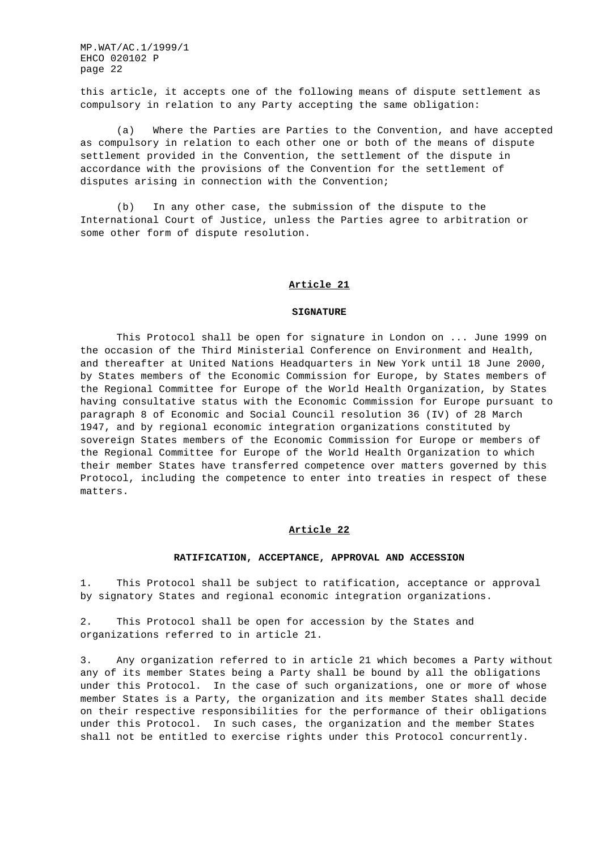this article, it accepts one of the following means of dispute settlement as compulsory in relation to any Party accepting the same obligation:

(a) Where the Parties are Parties to the Convention, and have accepted as compulsory in relation to each other one or both of the means of dispute settlement provided in the Convention, the settlement of the dispute in accordance with the provisions of the Convention for the settlement of disputes arising in connection with the Convention;

(b) In any other case, the submission of the dispute to the International Court of Justice, unless the Parties agree to arbitration or some other form of dispute resolution.

#### **Article 21**

#### **SIGNATURE**

This Protocol shall be open for signature in London on ... June 1999 on the occasion of the Third Ministerial Conference on Environment and Health, and thereafter at United Nations Headquarters in New York until 18 June 2000, by States members of the Economic Commission for Europe, by States members of the Regional Committee for Europe of the World Health Organization, by States having consultative status with the Economic Commission for Europe pursuant to paragraph 8 of Economic and Social Council resolution 36 (IV) of 28 March 1947, and by regional economic integration organizations constituted by sovereign States members of the Economic Commission for Europe or members of the Regional Committee for Europe of the World Health Organization to which their member States have transferred competence over matters governed by this Protocol, including the competence to enter into treaties in respect of these matters.

# **Article 22**

#### **RATIFICATION, ACCEPTANCE, APPROVAL AND ACCESSION**

1. This Protocol shall be subject to ratification, acceptance or approval by signatory States and regional economic integration organizations.

2. This Protocol shall be open for accession by the States and organizations referred to in article 21.

3. Any organization referred to in article 21 which becomes a Party without any of its member States being a Party shall be bound by all the obligations under this Protocol. In the case of such organizations, one or more of whose member States is a Party, the organization and its member States shall decide on their respective responsibilities for the performance of their obligations under this Protocol. In such cases, the organization and the member States shall not be entitled to exercise rights under this Protocol concurrently.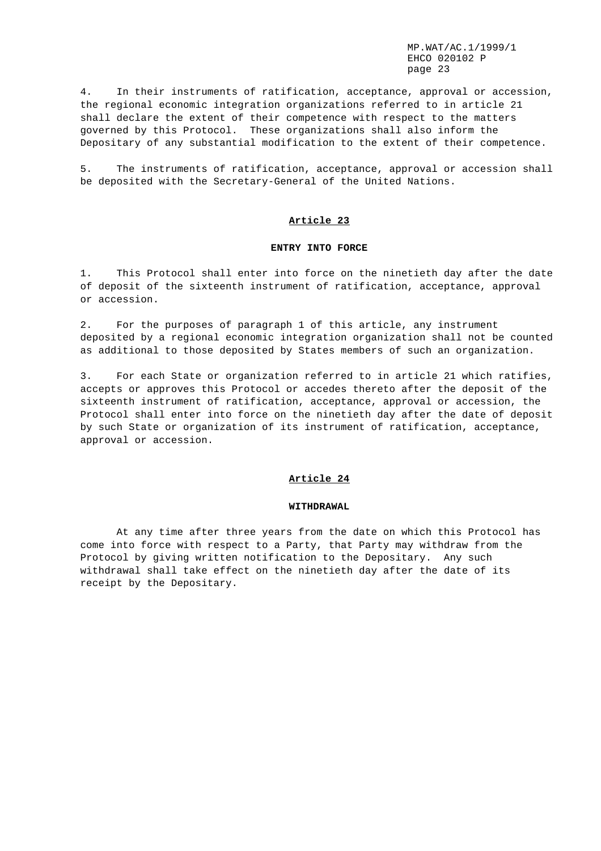4. In their instruments of ratification, acceptance, approval or accession, the regional economic integration organizations referred to in article 21 shall declare the extent of their competence with respect to the matters governed by this Protocol. These organizations shall also inform the Depositary of any substantial modification to the extent of their competence.

5. The instruments of ratification, acceptance, approval or accession shall be deposited with the Secretary-General of the United Nations.

#### **Article 23**

# **ENTRY INTO FORCE**

1. This Protocol shall enter into force on the ninetieth day after the date of deposit of the sixteenth instrument of ratification, acceptance, approval or accession.

2. For the purposes of paragraph 1 of this article, any instrument deposited by a regional economic integration organization shall not be counted as additional to those deposited by States members of such an organization.

3. For each State or organization referred to in article 21 which ratifies, accepts or approves this Protocol or accedes thereto after the deposit of the sixteenth instrument of ratification, acceptance, approval or accession, the Protocol shall enter into force on the ninetieth day after the date of deposit by such State or organization of its instrument of ratification, acceptance, approval or accession.

#### **Article 24**

# **WITHDRAWAL**

At any time after three years from the date on which this Protocol has come into force with respect to a Party, that Party may withdraw from the Protocol by giving written notification to the Depositary. Any such withdrawal shall take effect on the ninetieth day after the date of its receipt by the Depositary.